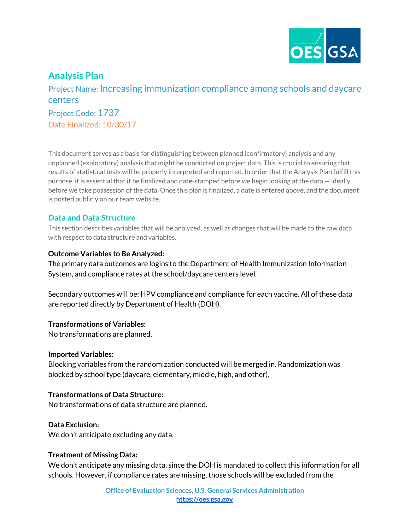

# **Analysis Plan**

Project Name: Increasing immunization compliance among schools and daycare centers Project Code: 1737 Date Finalized: 10/30/17

This document serves as a basis for distinguishing between planned (confirmatory) analysis and any unplanned (exploratory) analysis that might be conducted on project data. This is crucial to ensuring that results of statistical tests will be properly interpreted and reported. In order that the Analysis Plan fulfill this purpose, it is essential that it be finalized and date-stamped before we begin looking at the data — ideally, before we take possession of the data. Once this plan is finalized, a date is entered above, and the document is posted publicly on our team website.

# **Data and Data Structure**

This section describes variables that will be analyzed, as well as changes that will be made to the raw data with respect to data structure and variables.

#### **Outcome Variables to Be Analyzed:**

The primary data outcomes are logins to the Department of Health Immunization Information System, and compliance rates at the school/daycare centers level.

Secondary outcomes will be: HPV compliance and compliance for each vaccine. All of these data are reported directly by Department of Health (DOH).

#### **Transformations of Variables:**

No transformations are planned.

#### **Imported Variables:**

Blocking variables from the randomization conducted will be merged in. Randomization was blocked by school type (daycare, elementary, middle, high, and other).

## **Transformations of Data Structure:**

No transformations of data structure are planned.

#### **Data Exclusion:**

We don't anticipate excluding any data.

#### **Treatment of Missing Data:**

We don't anticipate any missing data, since the DOH is mandated to collect this information for all schools. However, if compliance rates are missing, those schools will be excluded from the

> **Office of Evaluation Sciences, U.S. General Services Administration [https://oes.gsa.gov](https://oes.gsa.gov/)**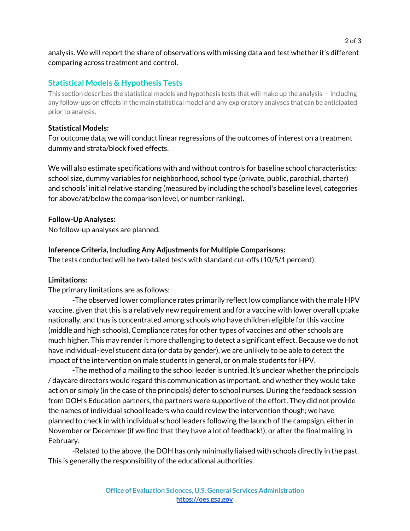analysis. We will report the share of observations with missing data and test whether it's different comparing across treatment and control.

# **Statistical Models & Hypothesis Tests**

This section describes the statistical models and hypothesis tests that will make up the analysis — including any follow-ups on effects in the main statistical model and any exploratory analyses that can be anticipated prior to analysis.

#### **Statistical Models:**

For outcome data, we will conduct linear regressions of the outcomes of interest on a treatment dummy and strata/block fixed effects.

We will also estimate specifications with and without controls for baseline school characteristics: school size, dummy variables for neighborhood, school type (private, public, parochial, charter) and schools' initial relative standing (measured by including the school's baseline level, categories for above/at/below the comparison level, or number ranking).

#### **Follow-Up Analyses:**

No follow-up analyses are planned.

## **Inference Criteria, Including Any Adjustments for Multiple Comparisons:**

The tests conducted will be two-tailed tests with standard cut-offs (10/5/1 percent).

#### **Limitations:**

The primary limitations are as follows:

-The observed lower compliance rates primarily reflect low compliance with the male HPV vaccine, given that this is a relatively new requirement and for a vaccine with lower overall uptake nationally, and thus is concentrated among schools who have children eligible for this vaccine (middle and high schools). Compliance rates for other types of vaccines and other schools are much higher. This may render it more challenging to detect a significant effect. Because we do not have individual-level student data (or data by gender), we are unlikely to be able to detect the impact of the intervention on male students in general, or on male students for HPV.

-The method of a mailing to the school leader is untried. It's unclear whether the principals / daycare directors would regard this communication as important, and whether they would take action or simply (in the case of the principals) defer to school nurses. During the feedback session from DOH's Education partners, the partners were supportive of the effort. They did not provide the names of individual school leaders who could review the intervention though; we have planned to check in with individual school leaders following the launch of the campaign, either in November or December (if we find that they have a lot of feedback!), or after the final mailing in February.

-Related to the above, the DOH has only minimally liaised with schools directly in the past. This is generally the responsibility of the educational authorities.